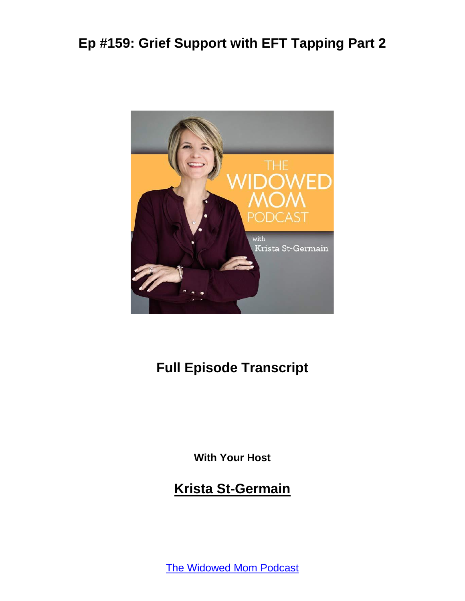

#### **Full Episode Transcript**

**With Your Host**

#### **Krista St-Germain**

[The Widowed Mom Podcast](https://coachingwithkrista.com/podcast)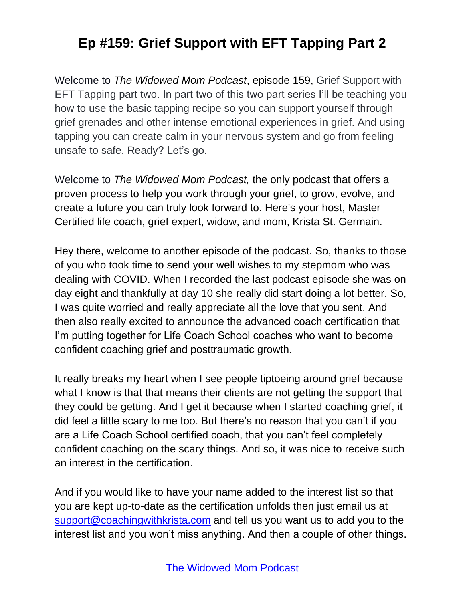Welcome to *The Widowed Mom Podcast*, episode 159, Grief Support with EFT Tapping part two. In part two of this two part series I'll be teaching you how to use the basic tapping recipe so you can support yourself through grief grenades and other intense emotional experiences in grief. And using tapping you can create calm in your nervous system and go from feeling unsafe to safe. Ready? Let's go.

Welcome to *The Widowed Mom Podcast,* the only podcast that offers a proven process to help you work through your grief, to grow, evolve, and create a future you can truly look forward to. Here's your host, Master Certified life coach, grief expert, widow, and mom, Krista St. Germain.

Hey there, welcome to another episode of the podcast. So, thanks to those of you who took time to send your well wishes to my stepmom who was dealing with COVID. When I recorded the last podcast episode she was on day eight and thankfully at day 10 she really did start doing a lot better. So, I was quite worried and really appreciate all the love that you sent. And then also really excited to announce the advanced coach certification that I'm putting together for Life Coach School coaches who want to become confident coaching grief and posttraumatic growth.

It really breaks my heart when I see people tiptoeing around grief because what I know is that that means their clients are not getting the support that they could be getting. And I get it because when I started coaching grief, it did feel a little scary to me too. But there's no reason that you can't if you are a Life Coach School certified coach, that you can't feel completely confident coaching on the scary things. And so, it was nice to receive such an interest in the certification.

And if you would like to have your name added to the interest list so that you are kept up-to-date as the certification unfolds then just email us at [support@coachingwithkrista.com](mailto:support@coachingwithkrista.com) and tell us you want us to add you to the interest list and you won't miss anything. And then a couple of other things.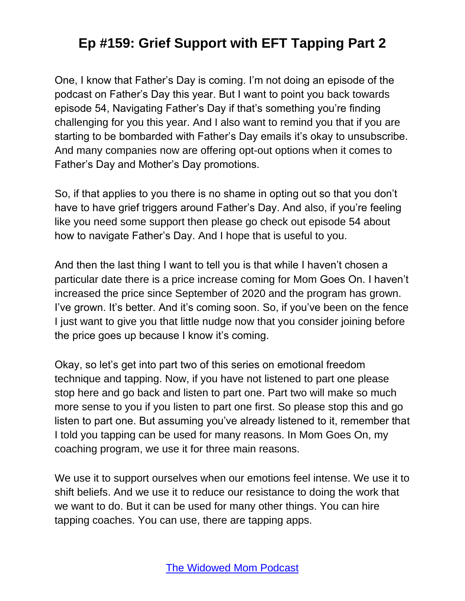One, I know that Father's Day is coming. I'm not doing an episode of the podcast on Father's Day this year. But I want to point you back towards episode 54, Navigating Father's Day if that's something you're finding challenging for you this year. And I also want to remind you that if you are starting to be bombarded with Father's Day emails it's okay to unsubscribe. And many companies now are offering opt-out options when it comes to Father's Day and Mother's Day promotions.

So, if that applies to you there is no shame in opting out so that you don't have to have grief triggers around Father's Day. And also, if you're feeling like you need some support then please go check out episode 54 about how to navigate Father's Day. And I hope that is useful to you.

And then the last thing I want to tell you is that while I haven't chosen a particular date there is a price increase coming for Mom Goes On. I haven't increased the price since September of 2020 and the program has grown. I've grown. It's better. And it's coming soon. So, if you've been on the fence I just want to give you that little nudge now that you consider joining before the price goes up because I know it's coming.

Okay, so let's get into part two of this series on emotional freedom technique and tapping. Now, if you have not listened to part one please stop here and go back and listen to part one. Part two will make so much more sense to you if you listen to part one first. So please stop this and go listen to part one. But assuming you've already listened to it, remember that I told you tapping can be used for many reasons. In Mom Goes On, my coaching program, we use it for three main reasons.

We use it to support ourselves when our emotions feel intense. We use it to shift beliefs. And we use it to reduce our resistance to doing the work that we want to do. But it can be used for many other things. You can hire tapping coaches. You can use, there are tapping apps.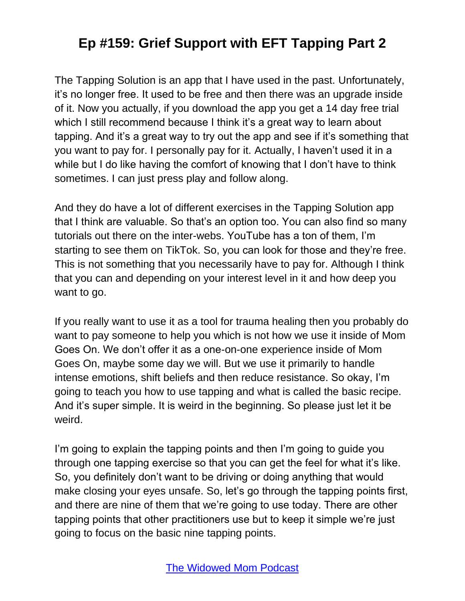The Tapping Solution is an app that I have used in the past. Unfortunately, it's no longer free. It used to be free and then there was an upgrade inside of it. Now you actually, if you download the app you get a 14 day free trial which I still recommend because I think it's a great way to learn about tapping. And it's a great way to try out the app and see if it's something that you want to pay for. I personally pay for it. Actually, I haven't used it in a while but I do like having the comfort of knowing that I don't have to think sometimes. I can just press play and follow along.

And they do have a lot of different exercises in the Tapping Solution app that I think are valuable. So that's an option too. You can also find so many tutorials out there on the inter-webs. YouTube has a ton of them, I'm starting to see them on TikTok. So, you can look for those and they're free. This is not something that you necessarily have to pay for. Although I think that you can and depending on your interest level in it and how deep you want to go.

If you really want to use it as a tool for trauma healing then you probably do want to pay someone to help you which is not how we use it inside of Mom Goes On. We don't offer it as a one-on-one experience inside of Mom Goes On, maybe some day we will. But we use it primarily to handle intense emotions, shift beliefs and then reduce resistance. So okay, I'm going to teach you how to use tapping and what is called the basic recipe. And it's super simple. It is weird in the beginning. So please just let it be weird.

I'm going to explain the tapping points and then I'm going to guide you through one tapping exercise so that you can get the feel for what it's like. So, you definitely don't want to be driving or doing anything that would make closing your eyes unsafe. So, let's go through the tapping points first, and there are nine of them that we're going to use today. There are other tapping points that other practitioners use but to keep it simple we're just going to focus on the basic nine tapping points.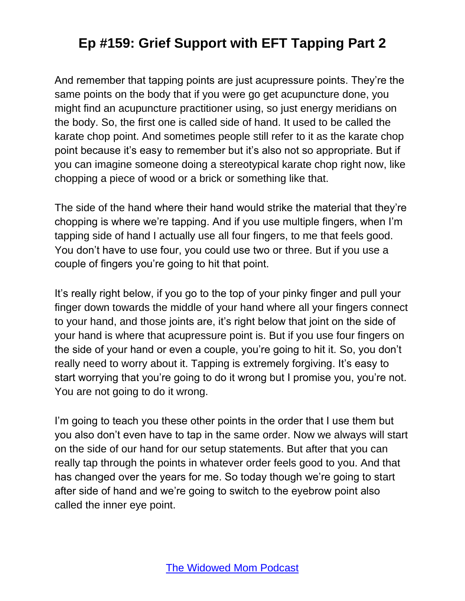And remember that tapping points are just acupressure points. They're the same points on the body that if you were go get acupuncture done, you might find an acupuncture practitioner using, so just energy meridians on the body. So, the first one is called side of hand. It used to be called the karate chop point. And sometimes people still refer to it as the karate chop point because it's easy to remember but it's also not so appropriate. But if you can imagine someone doing a stereotypical karate chop right now, like chopping a piece of wood or a brick or something like that.

The side of the hand where their hand would strike the material that they're chopping is where we're tapping. And if you use multiple fingers, when I'm tapping side of hand I actually use all four fingers, to me that feels good. You don't have to use four, you could use two or three. But if you use a couple of fingers you're going to hit that point.

It's really right below, if you go to the top of your pinky finger and pull your finger down towards the middle of your hand where all your fingers connect to your hand, and those joints are, it's right below that joint on the side of your hand is where that acupressure point is. But if you use four fingers on the side of your hand or even a couple, you're going to hit it. So, you don't really need to worry about it. Tapping is extremely forgiving. It's easy to start worrying that you're going to do it wrong but I promise you, you're not. You are not going to do it wrong.

I'm going to teach you these other points in the order that I use them but you also don't even have to tap in the same order. Now we always will start on the side of our hand for our setup statements. But after that you can really tap through the points in whatever order feels good to you. And that has changed over the years for me. So today though we're going to start after side of hand and we're going to switch to the eyebrow point also called the inner eye point.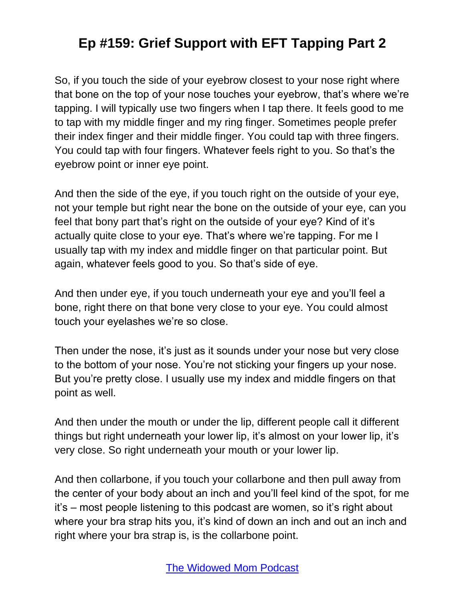So, if you touch the side of your eyebrow closest to your nose right where that bone on the top of your nose touches your eyebrow, that's where we're tapping. I will typically use two fingers when I tap there. It feels good to me to tap with my middle finger and my ring finger. Sometimes people prefer their index finger and their middle finger. You could tap with three fingers. You could tap with four fingers. Whatever feels right to you. So that's the eyebrow point or inner eye point.

And then the side of the eye, if you touch right on the outside of your eye, not your temple but right near the bone on the outside of your eye, can you feel that bony part that's right on the outside of your eye? Kind of it's actually quite close to your eye. That's where we're tapping. For me I usually tap with my index and middle finger on that particular point. But again, whatever feels good to you. So that's side of eye.

And then under eye, if you touch underneath your eye and you'll feel a bone, right there on that bone very close to your eye. You could almost touch your eyelashes we're so close.

Then under the nose, it's just as it sounds under your nose but very close to the bottom of your nose. You're not sticking your fingers up your nose. But you're pretty close. I usually use my index and middle fingers on that point as well.

And then under the mouth or under the lip, different people call it different things but right underneath your lower lip, it's almost on your lower lip, it's very close. So right underneath your mouth or your lower lip.

And then collarbone, if you touch your collarbone and then pull away from the center of your body about an inch and you'll feel kind of the spot, for me it's – most people listening to this podcast are women, so it's right about where your bra strap hits you, it's kind of down an inch and out an inch and right where your bra strap is, is the collarbone point.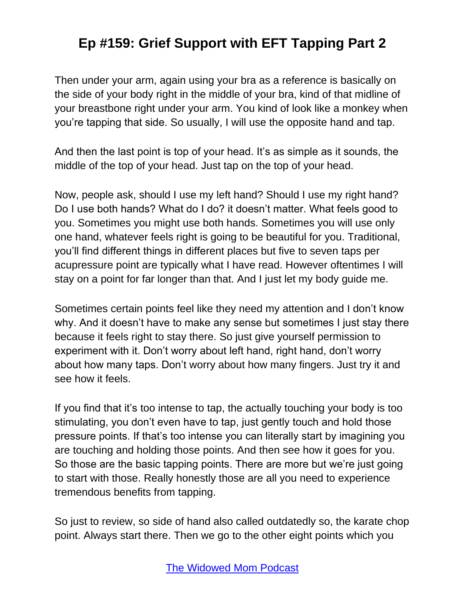Then under your arm, again using your bra as a reference is basically on the side of your body right in the middle of your bra, kind of that midline of your breastbone right under your arm. You kind of look like a monkey when you're tapping that side. So usually, I will use the opposite hand and tap.

And then the last point is top of your head. It's as simple as it sounds, the middle of the top of your head. Just tap on the top of your head.

Now, people ask, should I use my left hand? Should I use my right hand? Do I use both hands? What do I do? it doesn't matter. What feels good to you. Sometimes you might use both hands. Sometimes you will use only one hand, whatever feels right is going to be beautiful for you. Traditional, you'll find different things in different places but five to seven taps per acupressure point are typically what I have read. However oftentimes I will stay on a point for far longer than that. And I just let my body guide me.

Sometimes certain points feel like they need my attention and I don't know why. And it doesn't have to make any sense but sometimes I just stay there because it feels right to stay there. So just give yourself permission to experiment with it. Don't worry about left hand, right hand, don't worry about how many taps. Don't worry about how many fingers. Just try it and see how it feels.

If you find that it's too intense to tap, the actually touching your body is too stimulating, you don't even have to tap, just gently touch and hold those pressure points. If that's too intense you can literally start by imagining you are touching and holding those points. And then see how it goes for you. So those are the basic tapping points. There are more but we're just going to start with those. Really honestly those are all you need to experience tremendous benefits from tapping.

So just to review, so side of hand also called outdatedly so, the karate chop point. Always start there. Then we go to the other eight points which you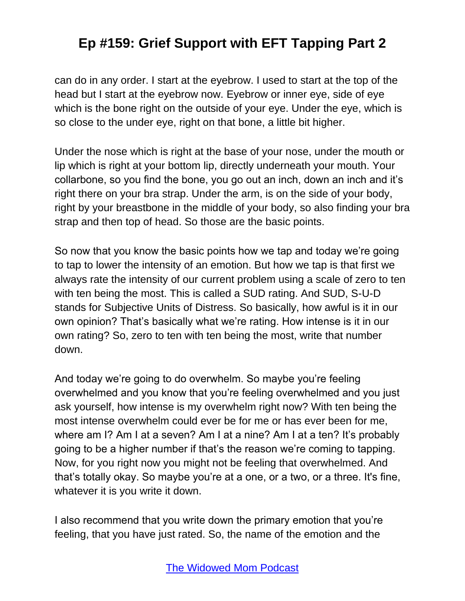can do in any order. I start at the eyebrow. I used to start at the top of the head but I start at the eyebrow now. Eyebrow or inner eye, side of eye which is the bone right on the outside of your eye. Under the eye, which is so close to the under eye, right on that bone, a little bit higher.

Under the nose which is right at the base of your nose, under the mouth or lip which is right at your bottom lip, directly underneath your mouth. Your collarbone, so you find the bone, you go out an inch, down an inch and it's right there on your bra strap. Under the arm, is on the side of your body, right by your breastbone in the middle of your body, so also finding your bra strap and then top of head. So those are the basic points.

So now that you know the basic points how we tap and today we're going to tap to lower the intensity of an emotion. But how we tap is that first we always rate the intensity of our current problem using a scale of zero to ten with ten being the most. This is called a SUD rating. And SUD, S-U-D stands for Subjective Units of Distress. So basically, how awful is it in our own opinion? That's basically what we're rating. How intense is it in our own rating? So, zero to ten with ten being the most, write that number down.

And today we're going to do overwhelm. So maybe you're feeling overwhelmed and you know that you're feeling overwhelmed and you just ask yourself, how intense is my overwhelm right now? With ten being the most intense overwhelm could ever be for me or has ever been for me, where am I? Am I at a seven? Am I at a nine? Am I at a ten? It's probably going to be a higher number if that's the reason we're coming to tapping. Now, for you right now you might not be feeling that overwhelmed. And that's totally okay. So maybe you're at a one, or a two, or a three. It's fine, whatever it is you write it down.

I also recommend that you write down the primary emotion that you're feeling, that you have just rated. So, the name of the emotion and the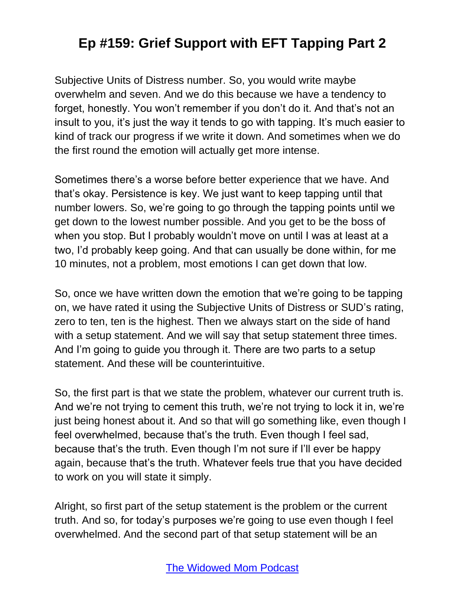Subjective Units of Distress number. So, you would write maybe overwhelm and seven. And we do this because we have a tendency to forget, honestly. You won't remember if you don't do it. And that's not an insult to you, it's just the way it tends to go with tapping. It's much easier to kind of track our progress if we write it down. And sometimes when we do the first round the emotion will actually get more intense.

Sometimes there's a worse before better experience that we have. And that's okay. Persistence is key. We just want to keep tapping until that number lowers. So, we're going to go through the tapping points until we get down to the lowest number possible. And you get to be the boss of when you stop. But I probably wouldn't move on until I was at least at a two, I'd probably keep going. And that can usually be done within, for me 10 minutes, not a problem, most emotions I can get down that low.

So, once we have written down the emotion that we're going to be tapping on, we have rated it using the Subjective Units of Distress or SUD's rating, zero to ten, ten is the highest. Then we always start on the side of hand with a setup statement. And we will say that setup statement three times. And I'm going to guide you through it. There are two parts to a setup statement. And these will be counterintuitive.

So, the first part is that we state the problem, whatever our current truth is. And we're not trying to cement this truth, we're not trying to lock it in, we're just being honest about it. And so that will go something like, even though I feel overwhelmed, because that's the truth. Even though I feel sad, because that's the truth. Even though I'm not sure if I'll ever be happy again, because that's the truth. Whatever feels true that you have decided to work on you will state it simply.

Alright, so first part of the setup statement is the problem or the current truth. And so, for today's purposes we're going to use even though I feel overwhelmed. And the second part of that setup statement will be an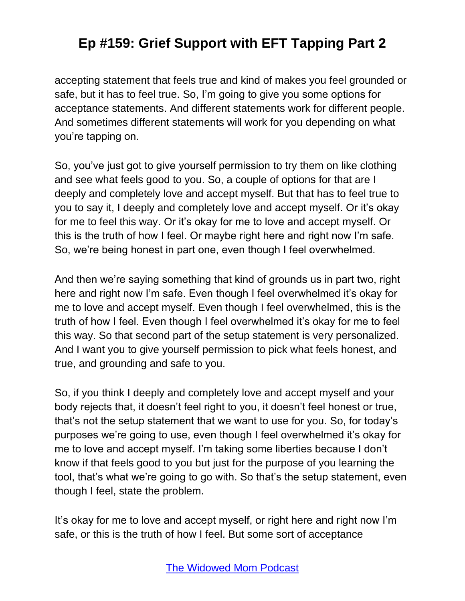accepting statement that feels true and kind of makes you feel grounded or safe, but it has to feel true. So, I'm going to give you some options for acceptance statements. And different statements work for different people. And sometimes different statements will work for you depending on what you're tapping on.

So, you've just got to give yourself permission to try them on like clothing and see what feels good to you. So, a couple of options for that are I deeply and completely love and accept myself. But that has to feel true to you to say it, I deeply and completely love and accept myself. Or it's okay for me to feel this way. Or it's okay for me to love and accept myself. Or this is the truth of how I feel. Or maybe right here and right now I'm safe. So, we're being honest in part one, even though I feel overwhelmed.

And then we're saying something that kind of grounds us in part two, right here and right now I'm safe. Even though I feel overwhelmed it's okay for me to love and accept myself. Even though I feel overwhelmed, this is the truth of how I feel. Even though I feel overwhelmed it's okay for me to feel this way. So that second part of the setup statement is very personalized. And I want you to give yourself permission to pick what feels honest, and true, and grounding and safe to you.

So, if you think I deeply and completely love and accept myself and your body rejects that, it doesn't feel right to you, it doesn't feel honest or true, that's not the setup statement that we want to use for you. So, for today's purposes we're going to use, even though I feel overwhelmed it's okay for me to love and accept myself. I'm taking some liberties because I don't know if that feels good to you but just for the purpose of you learning the tool, that's what we're going to go with. So that's the setup statement, even though I feel, state the problem.

It's okay for me to love and accept myself, or right here and right now I'm safe, or this is the truth of how I feel. But some sort of acceptance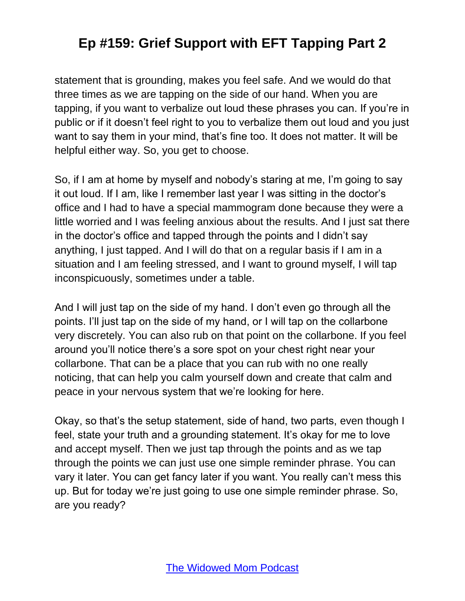statement that is grounding, makes you feel safe. And we would do that three times as we are tapping on the side of our hand. When you are tapping, if you want to verbalize out loud these phrases you can. If you're in public or if it doesn't feel right to you to verbalize them out loud and you just want to say them in your mind, that's fine too. It does not matter. It will be helpful either way. So, you get to choose.

So, if I am at home by myself and nobody's staring at me, I'm going to say it out loud. If I am, like I remember last year I was sitting in the doctor's office and I had to have a special mammogram done because they were a little worried and I was feeling anxious about the results. And I just sat there in the doctor's office and tapped through the points and I didn't say anything, I just tapped. And I will do that on a regular basis if I am in a situation and I am feeling stressed, and I want to ground myself, I will tap inconspicuously, sometimes under a table.

And I will just tap on the side of my hand. I don't even go through all the points. I'll just tap on the side of my hand, or I will tap on the collarbone very discretely. You can also rub on that point on the collarbone. If you feel around you'll notice there's a sore spot on your chest right near your collarbone. That can be a place that you can rub with no one really noticing, that can help you calm yourself down and create that calm and peace in your nervous system that we're looking for here.

Okay, so that's the setup statement, side of hand, two parts, even though I feel, state your truth and a grounding statement. It's okay for me to love and accept myself. Then we just tap through the points and as we tap through the points we can just use one simple reminder phrase. You can vary it later. You can get fancy later if you want. You really can't mess this up. But for today we're just going to use one simple reminder phrase. So, are you ready?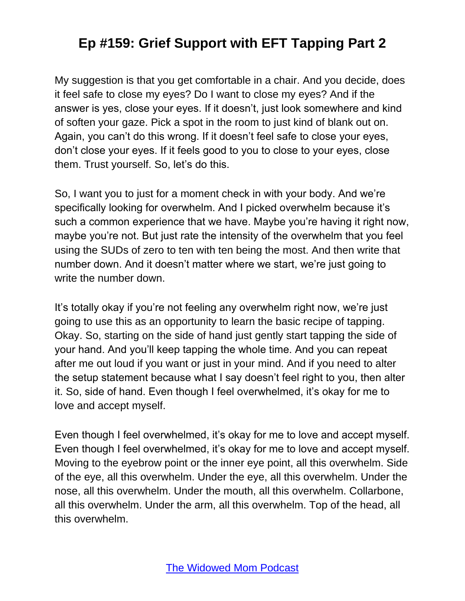My suggestion is that you get comfortable in a chair. And you decide, does it feel safe to close my eyes? Do I want to close my eyes? And if the answer is yes, close your eyes. If it doesn't, just look somewhere and kind of soften your gaze. Pick a spot in the room to just kind of blank out on. Again, you can't do this wrong. If it doesn't feel safe to close your eyes, don't close your eyes. If it feels good to you to close to your eyes, close them. Trust yourself. So, let's do this.

So, I want you to just for a moment check in with your body. And we're specifically looking for overwhelm. And I picked overwhelm because it's such a common experience that we have. Maybe you're having it right now, maybe you're not. But just rate the intensity of the overwhelm that you feel using the SUDs of zero to ten with ten being the most. And then write that number down. And it doesn't matter where we start, we're just going to write the number down.

It's totally okay if you're not feeling any overwhelm right now, we're just going to use this as an opportunity to learn the basic recipe of tapping. Okay. So, starting on the side of hand just gently start tapping the side of your hand. And you'll keep tapping the whole time. And you can repeat after me out loud if you want or just in your mind. And if you need to alter the setup statement because what I say doesn't feel right to you, then alter it. So, side of hand. Even though I feel overwhelmed, it's okay for me to love and accept myself.

Even though I feel overwhelmed, it's okay for me to love and accept myself. Even though I feel overwhelmed, it's okay for me to love and accept myself. Moving to the eyebrow point or the inner eye point, all this overwhelm. Side of the eye, all this overwhelm. Under the eye, all this overwhelm. Under the nose, all this overwhelm. Under the mouth, all this overwhelm. Collarbone, all this overwhelm. Under the arm, all this overwhelm. Top of the head, all this overwhelm.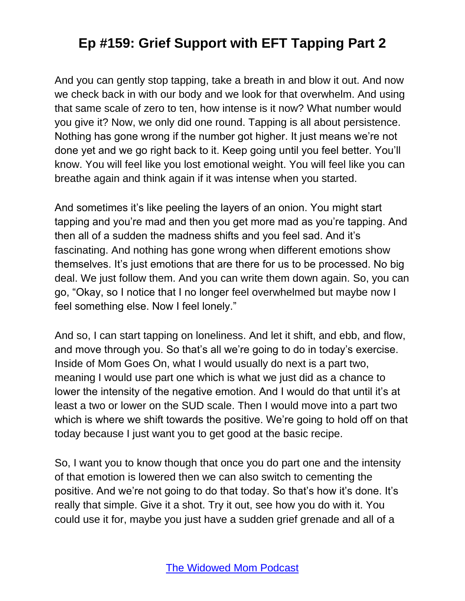And you can gently stop tapping, take a breath in and blow it out. And now we check back in with our body and we look for that overwhelm. And using that same scale of zero to ten, how intense is it now? What number would you give it? Now, we only did one round. Tapping is all about persistence. Nothing has gone wrong if the number got higher. It just means we're not done yet and we go right back to it. Keep going until you feel better. You'll know. You will feel like you lost emotional weight. You will feel like you can breathe again and think again if it was intense when you started.

And sometimes it's like peeling the layers of an onion. You might start tapping and you're mad and then you get more mad as you're tapping. And then all of a sudden the madness shifts and you feel sad. And it's fascinating. And nothing has gone wrong when different emotions show themselves. It's just emotions that are there for us to be processed. No big deal. We just follow them. And you can write them down again. So, you can go, "Okay, so I notice that I no longer feel overwhelmed but maybe now I feel something else. Now I feel lonely."

And so, I can start tapping on loneliness. And let it shift, and ebb, and flow, and move through you. So that's all we're going to do in today's exercise. Inside of Mom Goes On, what I would usually do next is a part two, meaning I would use part one which is what we just did as a chance to lower the intensity of the negative emotion. And I would do that until it's at least a two or lower on the SUD scale. Then I would move into a part two which is where we shift towards the positive. We're going to hold off on that today because I just want you to get good at the basic recipe.

So, I want you to know though that once you do part one and the intensity of that emotion is lowered then we can also switch to cementing the positive. And we're not going to do that today. So that's how it's done. It's really that simple. Give it a shot. Try it out, see how you do with it. You could use it for, maybe you just have a sudden grief grenade and all of a